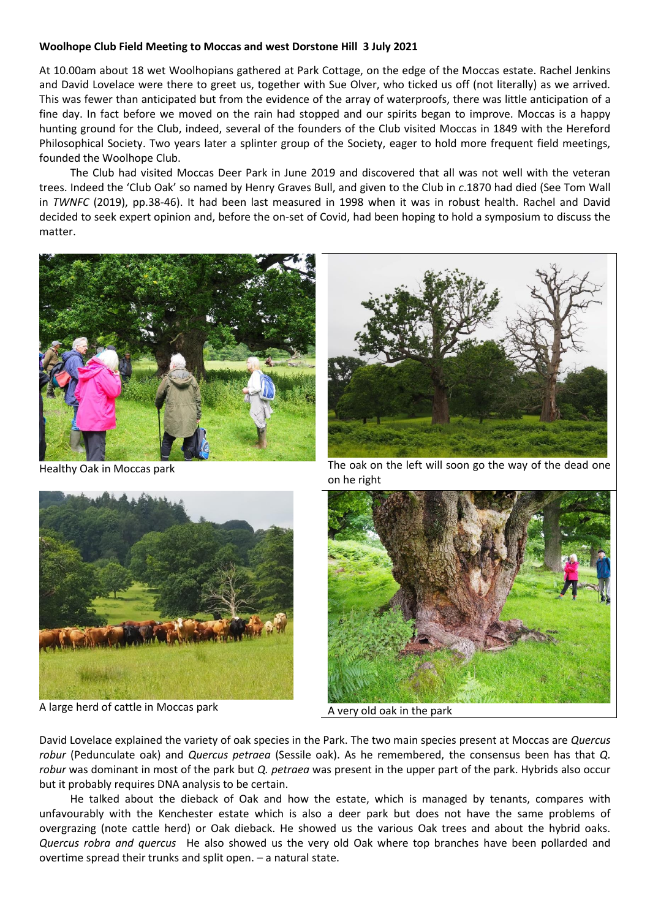## **Woolhope Club Field Meeting to Moccas and west Dorstone Hill 3 July 2021**

At 10.00am about 18 wet Woolhopians gathered at Park Cottage, on the edge of the Moccas estate. Rachel Jenkins and David Lovelace were there to greet us, together with Sue Olver, who ticked us off (not literally) as we arrived. This was fewer than anticipated but from the evidence of the array of waterproofs, there was little anticipation of a fine day. In fact before we moved on the rain had stopped and our spirits began to improve. Moccas is a happy hunting ground for the Club, indeed, several of the founders of the Club visited Moccas in 1849 with the Hereford Philosophical Society. Two years later a splinter group of the Society, eager to hold more frequent field meetings, founded the Woolhope Club.

The Club had visited Moccas Deer Park in June 2019 and discovered that all was not well with the veteran trees. Indeed the 'Club Oak' so named by Henry Graves Bull, and given to the Club in *c*.1870 had died (See Tom Wall in *TWNFC* (2019), pp.38-46). It had been last measured in 1998 when it was in robust health. Rachel and David decided to seek expert opinion and, before the on-set of Covid, had been hoping to hold a symposium to discuss the matter.





A large herd of cattle in Moccas park A very old oak in the park



Healthy Oak in Moccas park The oak on the left will soon go the way of the dead one on he right



David Lovelace explained the variety of oak species in the Park. The two main species present at Moccas are *Quercus robur* (Pedunculate oak) and *Quercus petraea* (Sessile oak). As he remembered, the consensus been has that *Q. robur* was dominant in most of the park but *Q. petraea* was present in the upper part of the park. Hybrids also occur but it probably requires DNA analysis to be certain.

He talked about the dieback of Oak and how the estate, which is managed by tenants, compares with unfavourably with the Kenchester estate which is also a deer park but does not have the same problems of overgrazing (note cattle herd) or Oak dieback. He showed us the various Oak trees and about the hybrid oaks. *Quercus robra and quercus* He also showed us the very old Oak where top branches have been pollarded and overtime spread their trunks and split open. – a natural state.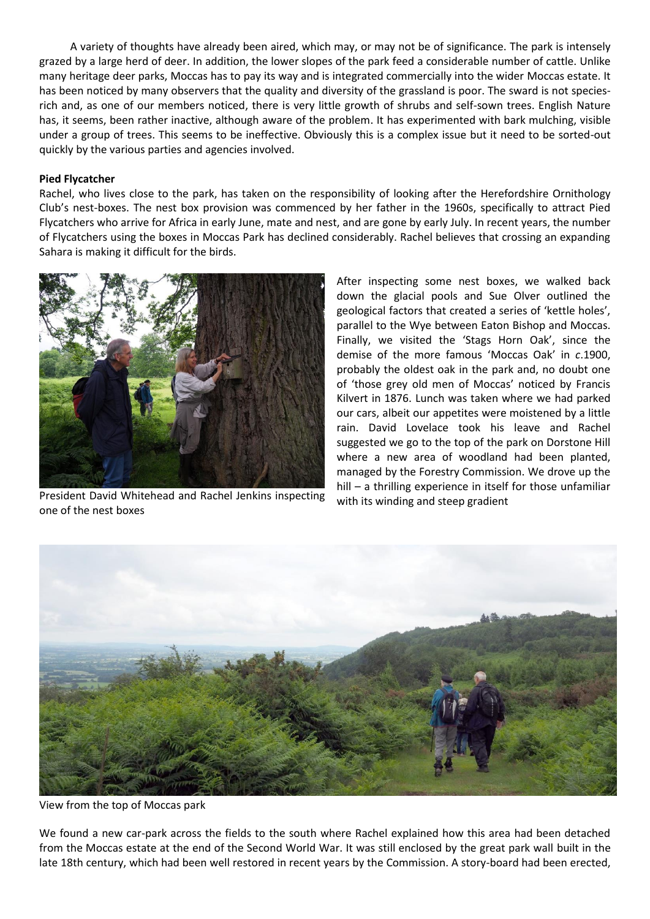A variety of thoughts have already been aired, which may, or may not be of significance. The park is intensely grazed by a large herd of deer. In addition, the lower slopes of the park feed a considerable number of cattle. Unlike many heritage deer parks, Moccas has to pay its way and is integrated commercially into the wider Moccas estate. It has been noticed by many observers that the quality and diversity of the grassland is poor. The sward is not speciesrich and, as one of our members noticed, there is very little growth of shrubs and self-sown trees. English Nature has, it seems, been rather inactive, although aware of the problem. It has experimented with bark mulching, visible under a group of trees. This seems to be ineffective. Obviously this is a complex issue but it need to be sorted-out quickly by the various parties and agencies involved.

## **Pied Flycatcher**

Rachel, who lives close to the park, has taken on the responsibility of looking after the Herefordshire Ornithology Club's nest-boxes. The nest box provision was commenced by her father in the 1960s, specifically to attract Pied Flycatchers who arrive for Africa in early June, mate and nest, and are gone by early July. In recent years, the number of Flycatchers using the boxes in Moccas Park has declined considerably. Rachel believes that crossing an expanding Sahara is making it difficult for the birds.



President David Whitehead and Rachel Jenkins inspecting one of the nest boxes

After inspecting some nest boxes, we walked back down the glacial pools and Sue Olver outlined the geological factors that created a series of 'kettle holes', parallel to the Wye between Eaton Bishop and Moccas. Finally, we visited the 'Stags Horn Oak', since the demise of the more famous 'Moccas Oak' in *c*.1900, probably the oldest oak in the park and, no doubt one of 'those grey old men of Moccas' noticed by Francis Kilvert in 1876. Lunch was taken where we had parked our cars, albeit our appetites were moistened by a little rain. David Lovelace took his leave and Rachel suggested we go to the top of the park on Dorstone Hill where a new area of woodland had been planted, managed by the Forestry Commission. We drove up the hill – a thrilling experience in itself for those unfamiliar with its winding and steep gradient



View from the top of Moccas park

We found a new car-park across the fields to the south where Rachel explained how this area had been detached from the Moccas estate at the end of the Second World War. It was still enclosed by the great park wall built in the late 18th century, which had been well restored in recent years by the Commission. A story-board had been erected,